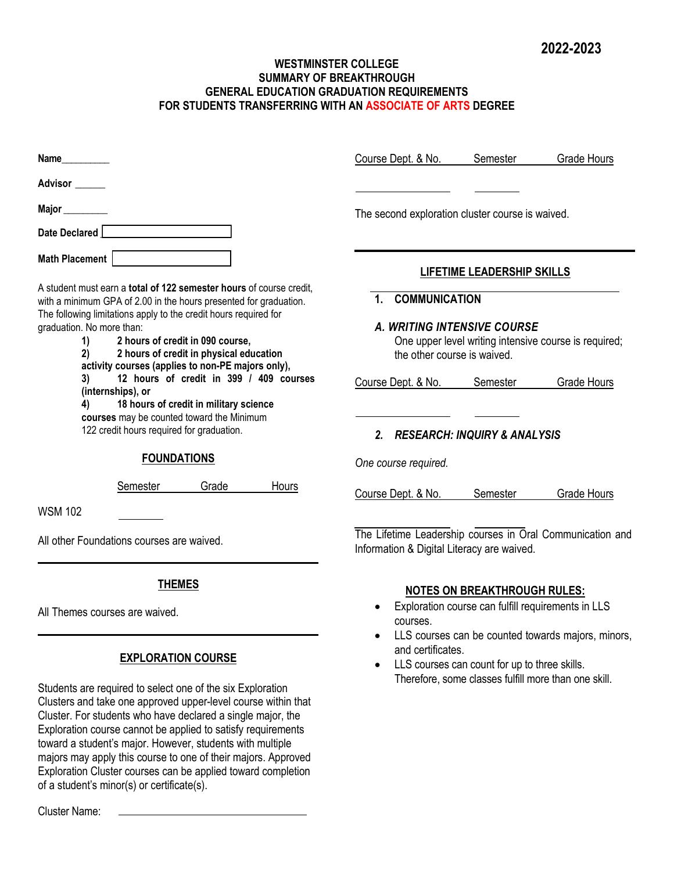-

## **WESTMINSTER COLLEGE SUMMARY OF BREAKTHROUGH GENERAL EDUCATION GRADUATION REQUIREMENTS FOR STUDENTS TRANSFERRING WITH AN ASSOCIATE OF ARTS DEGREE**

| <b>Name</b>                                                                                                                                                                                                                                                                                                                                                                                                                                                   | Course Dept. & No.<br>Semester<br>Grade Hours                                                                                                                                                                         |  |  |  |  |  |  |  |
|---------------------------------------------------------------------------------------------------------------------------------------------------------------------------------------------------------------------------------------------------------------------------------------------------------------------------------------------------------------------------------------------------------------------------------------------------------------|-----------------------------------------------------------------------------------------------------------------------------------------------------------------------------------------------------------------------|--|--|--|--|--|--|--|
| Advisor  ______                                                                                                                                                                                                                                                                                                                                                                                                                                               |                                                                                                                                                                                                                       |  |  |  |  |  |  |  |
| Major $\_\_\_\_\_\_\_\_\_\_$<br>Date Declared                                                                                                                                                                                                                                                                                                                                                                                                                 | The second exploration cluster course is waived.                                                                                                                                                                      |  |  |  |  |  |  |  |
| Math Placement<br>A student must earn a total of 122 semester hours of course credit,<br>with a minimum GPA of 2.00 in the hours presented for graduation.                                                                                                                                                                                                                                                                                                    | <b>LIFETIME LEADERSHIP SKILLS</b><br><b>COMMUNICATION</b><br>$\mathbf 1$                                                                                                                                              |  |  |  |  |  |  |  |
| The following limitations apply to the credit hours required for<br>graduation. No more than:<br>2 hours of credit in 090 course,<br>1)<br>2 hours of credit in physical education<br>2)<br>activity courses (applies to non-PE majors only),<br>12 hours of credit in 399 / 409 courses<br>3)<br>(internships), or<br>18 hours of credit in military science<br>4)<br>courses may be counted toward the Minimum<br>122 credit hours required for graduation. | <b>A. WRITING INTENSIVE COURSE</b><br>One upper level writing intensive course is required;<br>the other course is waived.<br>Course Dept. & No.<br>Semester<br><b>Grade Hours</b><br>2. RESEARCH: INQUIRY & ANALYSIS |  |  |  |  |  |  |  |
| <b>FOUNDATIONS</b>                                                                                                                                                                                                                                                                                                                                                                                                                                            | One course required.                                                                                                                                                                                                  |  |  |  |  |  |  |  |
| Semester<br>Grade<br>Hours<br><b>WSM 102</b>                                                                                                                                                                                                                                                                                                                                                                                                                  | Course Dept. & No.<br>Semester<br>Grade Hours                                                                                                                                                                         |  |  |  |  |  |  |  |
| All other Foundations courses are waived.                                                                                                                                                                                                                                                                                                                                                                                                                     | The Lifetime Leadership courses in Oral Communication and<br>Information & Digital Literacy are waived.                                                                                                               |  |  |  |  |  |  |  |
| <b>THEMES</b><br>All Themes courses are waived.                                                                                                                                                                                                                                                                                                                                                                                                               | <b>NOTES ON BREAKTHROUGH RULES:</b><br>Exploration course can fulfill requirements in LLS<br>courses.                                                                                                                 |  |  |  |  |  |  |  |
| <b>EXPLORATION COURSE</b><br>Students are required to select one of the six Exploration<br>Clusters and take one approved upper-level course within that<br>Cluster. For students who have declared a single major, the<br>Exploration course cannot be applied to satisfy requirements<br>toward a student's major. However, students with multiple<br>majors may apply this course to one of their majors. Approved                                         | LLS courses can be counted towards majors, minors,<br>and certificates.<br>LLS courses can count for up to three skills.<br>Therefore, some classes fulfill more than one skill.                                      |  |  |  |  |  |  |  |

Cluster Name:

Exploration Cluster courses can be applied toward completion

of a student's minor(s) or certificate(s).